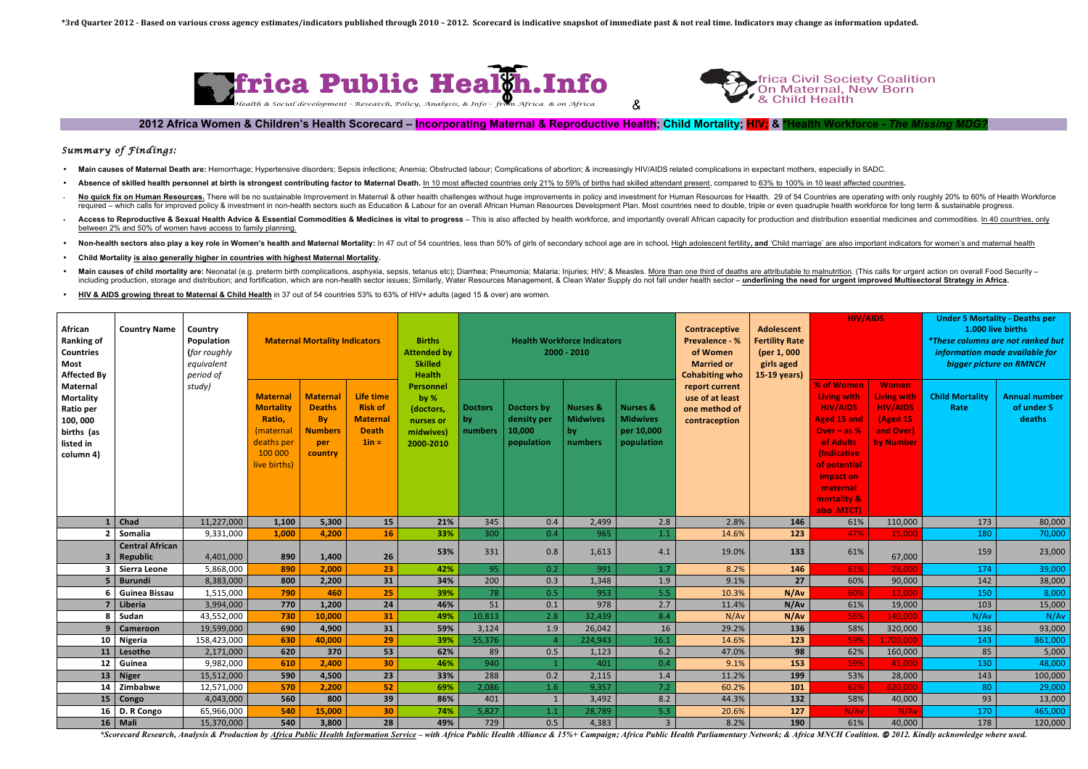## *Summary of Findings:*

- Main causes of Maternal Death are: Hemorrhage; Hypertensive disorders; Sepsis infections; Anemia; Obstructed labour; Complications of abortion; & increasingly HIV/AIDS related complications in expectant mothers, especially
- Absence of skilled health personnel at birth is strongest contributing factor to Maternal Death. In 10 most affected countries only 21% to 59% of births had skilled attendant present, compared to 63% to 100% in 10 least af
- No quick fix on Human Resources. There will be no sustainable Improvement in Maternal & other health challenges without huge improvements in policy and investment for Human Resources for Health. 29 of 54 Countries are oper required - which calls for improved policy & investment in non-health sectors such as Education & Labour for an overall African Human Resources Development Plan. Most countries need to double, triple or even quadruple heal
- . Access to Reproductive & Sexual Health Advice & Essential Commodities & Medicines is vital to progress This is also affected by health workforce, and importantly overall African capacity for production and distribution between 2% and 50% of women have access to family planning.
- Non-health sectors also play a key role in Women's health and Maternal Mortality: In 47 out of 54 countries, less than 50% of girls of secondary school age are in school. High adolescent fertility, and 'Child marriage' are
- **Child Mortality is also generally higher in countries with highest Maternal Mortality.**
- Main causes of child mortality are: Neonatal (e.g. preterm birth complications, asphyxia, sepsis, tetanus etc); Diarrhea; Pneumonia; Malaria; Injuries; HIV; & Measles. More than one third of deaths are attributable to maln including production, storage and distribution; and fortification, which are non-health sector issues; Similarly, Water Resources Management, & Clean Water Supply do not fall under health sector - underlining the need for
- **HIV & AIDS growing threat to Maternal & Child Health** in 37 out of 54 countries 53% to 63% of HIV+ adults (aged 15 & over) are women.



**2012** Africa Women & Children's Health Scorecard – **Incorporating Maternal & Reproductive Health**: Child Mortality: HIV; & <sup>\*</sup>

| African<br><b>Ranking of</b><br><b>Countries</b><br><b>Most</b><br><b>Affected By</b><br><b>Maternal</b><br><b>Mortality</b><br>Ratio per<br>100,000<br>births (as<br>listed in<br>column 4) | <b>Country Name</b>                       | Country<br>Population<br>(for roughly<br>equivalent<br>period of<br>study) | <b>Maternal Mortality Indicators</b>                                                               |                                                                            |                                                                           | <b>Births</b><br><b>Attended by</b><br><b>Skilled</b><br><b>Health</b>       | <b>Health Workforce Indicators</b><br>$2000 - 2010$ |                                                   |                                                         |                                                                    | <b>Contraceptive</b><br><b>Prevalence - %</b><br>of Women<br><b>Married or</b><br><b>Cohabiting who</b> | <b>Adolescent</b><br><b>Fertility Rate</b><br>(per 1, 000<br>girls aged<br>15-19 years) | <b>HIV/AIDS</b>                                                                                                                                                                                |                                                                                             | <b>Under 5 Mortality - Deaths per</b><br>1.000 live births<br><i>*These columns are not ranked but</i><br>information made available for<br>bigger picture on RMNCH |                                              |
|----------------------------------------------------------------------------------------------------------------------------------------------------------------------------------------------|-------------------------------------------|----------------------------------------------------------------------------|----------------------------------------------------------------------------------------------------|----------------------------------------------------------------------------|---------------------------------------------------------------------------|------------------------------------------------------------------------------|-----------------------------------------------------|---------------------------------------------------|---------------------------------------------------------|--------------------------------------------------------------------|---------------------------------------------------------------------------------------------------------|-----------------------------------------------------------------------------------------|------------------------------------------------------------------------------------------------------------------------------------------------------------------------------------------------|---------------------------------------------------------------------------------------------|---------------------------------------------------------------------------------------------------------------------------------------------------------------------|----------------------------------------------|
|                                                                                                                                                                                              |                                           |                                                                            | <b>Materna</b><br><b>Mortality</b><br>Ratio,<br>(maternal<br>deaths per<br>100 000<br>live births) | <b>Maternal</b><br><b>Deaths</b><br>By<br><b>Numbers</b><br>per<br>country | Life time<br><b>Risk of</b><br><b>Maternal</b><br><b>Death</b><br>$1in =$ | <b>Personnel</b><br>by %<br>(doctors,<br>nurses or<br>midwives)<br>2000-2010 | <b>Doctors</b><br>by<br>numbers                     | Doctors by<br>density per<br>10,000<br>population | <b>Nurses &amp;</b><br><b>Midwives</b><br>by<br>numbers | <b>Nurses &amp;</b><br><b>Midwives</b><br>per 10,000<br>population | report current<br>use of at least<br>one method of<br>contraception                                     |                                                                                         | % of Women<br>Living with<br><b>HIV/AIDS</b><br><b>Aged 15 and</b><br>Over $-$ as $%$<br>of Adults<br><i>(Indicative</i><br>of potential<br>impact on<br>maternal<br>mortality &<br>also MTCT) | <b>Women</b><br><b>Living with</b><br><b>HIV/AIDS</b><br>(Aged 15<br>and Over)<br>by Number | <b>Child Mortality</b><br>Rate                                                                                                                                      | <b>Annual number</b><br>of under 5<br>deaths |
| $\mathbf{1}$                                                                                                                                                                                 | <b>Chad</b>                               | 11,227,000                                                                 | 1,100                                                                                              | 5,300                                                                      | 15                                                                        | 21%                                                                          | 345                                                 | 0.4                                               | 2,499                                                   | 2.8                                                                | 2.8%                                                                                                    | 146                                                                                     | 61%                                                                                                                                                                                            | 110,000                                                                                     | 173                                                                                                                                                                 | 80,000                                       |
| $\overline{2}$                                                                                                                                                                               | Somalia                                   | 9,331,000                                                                  | 1,000                                                                                              | 4,200                                                                      | 16                                                                        | 33%                                                                          | 300                                                 | 0.4                                               | 965                                                     | 1.1                                                                | 14.6%                                                                                                   | 123                                                                                     | 47%                                                                                                                                                                                            | 15,000                                                                                      | 180                                                                                                                                                                 | 70,000                                       |
|                                                                                                                                                                                              | <b>Central African</b><br><b>Republic</b> | 4,401,000                                                                  | 890                                                                                                | 1,400                                                                      | 26                                                                        | 53%                                                                          | 331                                                 | 0.8                                               | 1,613                                                   | 4.1                                                                | 19.0%                                                                                                   | 133                                                                                     | 61%                                                                                                                                                                                            | 67,000                                                                                      | 159                                                                                                                                                                 | 23,000                                       |
| 3                                                                                                                                                                                            | Sierra Leone                              | 5,868,000                                                                  | 890                                                                                                | 2,000                                                                      | 23                                                                        | 42%                                                                          | 95                                                  | 0.2                                               | 991                                                     | 1.7                                                                | 8.2%                                                                                                    | 146                                                                                     | 61%                                                                                                                                                                                            | 28,000                                                                                      | 174                                                                                                                                                                 | 39,000                                       |
| 5                                                                                                                                                                                            | <b>Burundi</b>                            | 8,383,000                                                                  | 800                                                                                                | 2,200                                                                      | 31                                                                        | 34%                                                                          | 200                                                 | 0.3                                               | 1,348                                                   | 1.9                                                                | 9.1%                                                                                                    | 27                                                                                      | 60%                                                                                                                                                                                            | 90,000                                                                                      | 142                                                                                                                                                                 | 38,000                                       |
| 6                                                                                                                                                                                            | <b>Guinea Bissau</b>                      | 1,515,000                                                                  | 790                                                                                                | 460                                                                        | 25                                                                        | 39%                                                                          | 78                                                  | 0.5                                               | 953                                                     | 5.5                                                                | 10.3%                                                                                                   | N/Av                                                                                    | 60%                                                                                                                                                                                            | 12,000                                                                                      | 150                                                                                                                                                                 | 8,000                                        |
| $\overline{\mathbf{z}}$                                                                                                                                                                      | Liberia                                   | 3,994,000                                                                  | 770                                                                                                | 1,200                                                                      | 24                                                                        | 46%                                                                          | 51                                                  | 0.1                                               | 978                                                     | 2.7                                                                | 11.4%                                                                                                   | N/Av                                                                                    | 61%                                                                                                                                                                                            | 19,000                                                                                      | 103                                                                                                                                                                 | 15,000                                       |
| 8                                                                                                                                                                                            | Sudan                                     | 43,552,000                                                                 | 730                                                                                                | 10,000                                                                     | 31                                                                        | 49%                                                                          | 10,813                                              | 2.8                                               | 32,439                                                  | 8.4                                                                | N/Av                                                                                                    | N/Av                                                                                    | 56%                                                                                                                                                                                            | 140,000                                                                                     | N/Av                                                                                                                                                                | N/Av                                         |
| $\mathbf{q}$                                                                                                                                                                                 | Cameroon                                  | 19,599,000                                                                 | 690                                                                                                | 4,900                                                                      | 31                                                                        | 59%                                                                          | 3,124                                               | 1.9                                               | 26,042                                                  | 16                                                                 | 29.2%                                                                                                   | 136                                                                                     | 58%                                                                                                                                                                                            | 320,000                                                                                     | 136                                                                                                                                                                 | 93,000                                       |
| 10                                                                                                                                                                                           | Nigeria                                   | 158,423,000                                                                | 630                                                                                                | 40,000                                                                     | 29                                                                        | 39%                                                                          | 55,376                                              |                                                   | 224,943                                                 | 16.1                                                               | 14.6%                                                                                                   | 123                                                                                     | 59%                                                                                                                                                                                            | 1,700,000                                                                                   | 143                                                                                                                                                                 | 861,000                                      |
| 11                                                                                                                                                                                           | Lesotho                                   | 2,171,000                                                                  | 620                                                                                                | 370                                                                        | 53                                                                        | 62%                                                                          | 89                                                  | 0.5                                               | 1,123                                                   | $6.2$                                                              | 47.0%                                                                                                   | 98                                                                                      | 62%                                                                                                                                                                                            | 160,000                                                                                     | 85                                                                                                                                                                  | 5,000                                        |
| 12                                                                                                                                                                                           | Guinea                                    | 9,982,000                                                                  | 610                                                                                                | 2,400                                                                      | 30                                                                        | 46%                                                                          | 940                                                 |                                                   | 401                                                     | 0.4                                                                | 9.1%                                                                                                    | 153                                                                                     | 59%                                                                                                                                                                                            | 41,000                                                                                      | 130                                                                                                                                                                 | 48,000                                       |
| 13                                                                                                                                                                                           | <b>Niger</b>                              | 15,512,000                                                                 | 590                                                                                                | 4,500                                                                      | 23                                                                        | 33%                                                                          | 288                                                 | 0.2                                               | 2,115                                                   | 1.4                                                                | 11.2%                                                                                                   | 199                                                                                     | 53%                                                                                                                                                                                            | 28,000                                                                                      | 143                                                                                                                                                                 | 100,000                                      |
| 14                                                                                                                                                                                           | Zimbabwe                                  | 12,571,000                                                                 | 570                                                                                                | 2,200                                                                      | 52                                                                        | 69%                                                                          | 2,086                                               | 1.6                                               | 9,357                                                   | 7.2                                                                | 60.2%                                                                                                   | 101                                                                                     | 62%                                                                                                                                                                                            | 620,000                                                                                     | 80                                                                                                                                                                  | 29,000                                       |
| 15                                                                                                                                                                                           | Congo                                     | 4,043,000                                                                  | 560                                                                                                | 800                                                                        | 39                                                                        | 86%                                                                          | 401                                                 | $\mathbf{1}$                                      | 3,492                                                   | 8.2                                                                | 44.3%                                                                                                   | 132                                                                                     | 58%                                                                                                                                                                                            | 40,000                                                                                      | 93                                                                                                                                                                  | 13,000                                       |
| 16                                                                                                                                                                                           | D. R Congo                                | 65,966,000                                                                 | 540                                                                                                | 15,000                                                                     | 30                                                                        | 74%                                                                          | 5,827                                               | 1.1                                               | 28,789                                                  | 5.3                                                                | 20.6%                                                                                                   | 127                                                                                     | N/Av                                                                                                                                                                                           | N/A                                                                                         | 170                                                                                                                                                                 | 465,000                                      |
|                                                                                                                                                                                              | $16$ Mali                                 | 15,370,000                                                                 | 540                                                                                                | 3,800                                                                      | 28                                                                        | 49%                                                                          | 729                                                 | 0.5                                               | 4,383                                                   | $\overline{3}$                                                     | 8.2%                                                                                                    | 190                                                                                     | 61%                                                                                                                                                                                            | 40,000                                                                                      | 178                                                                                                                                                                 | 120,000                                      |

\*Scorecard Research, Analysis & Production by Africa Public Health Information Service – with Africa Public Health Alliance & 15%+ Campaign; Africa Public Health Parliamentary Network; & Africa MNCH Coalition. © 2012. Kind

## frica Civil Society Coalition frica Civil Society Coalit<br>On Maternal, New Born & Child Health